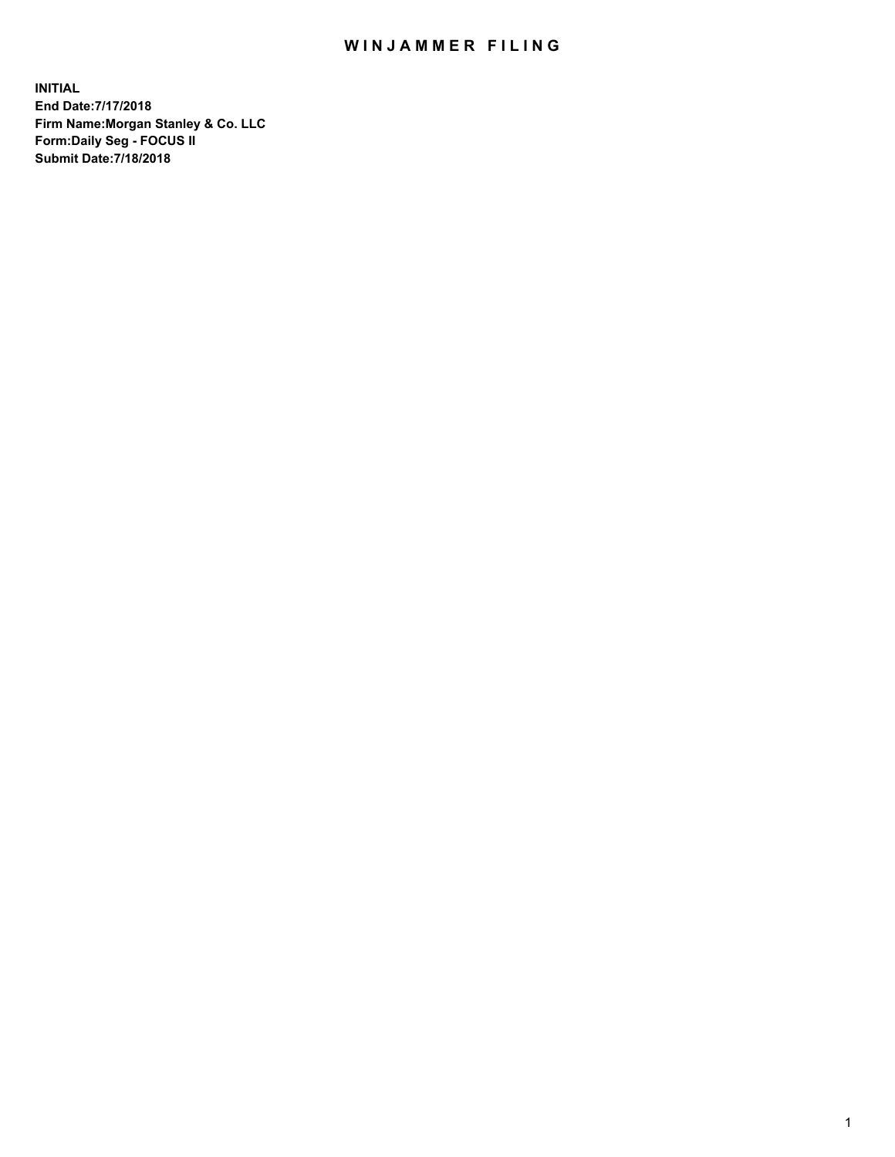## WIN JAMMER FILING

**INITIAL End Date:7/17/2018 Firm Name:Morgan Stanley & Co. LLC Form:Daily Seg - FOCUS II Submit Date:7/18/2018**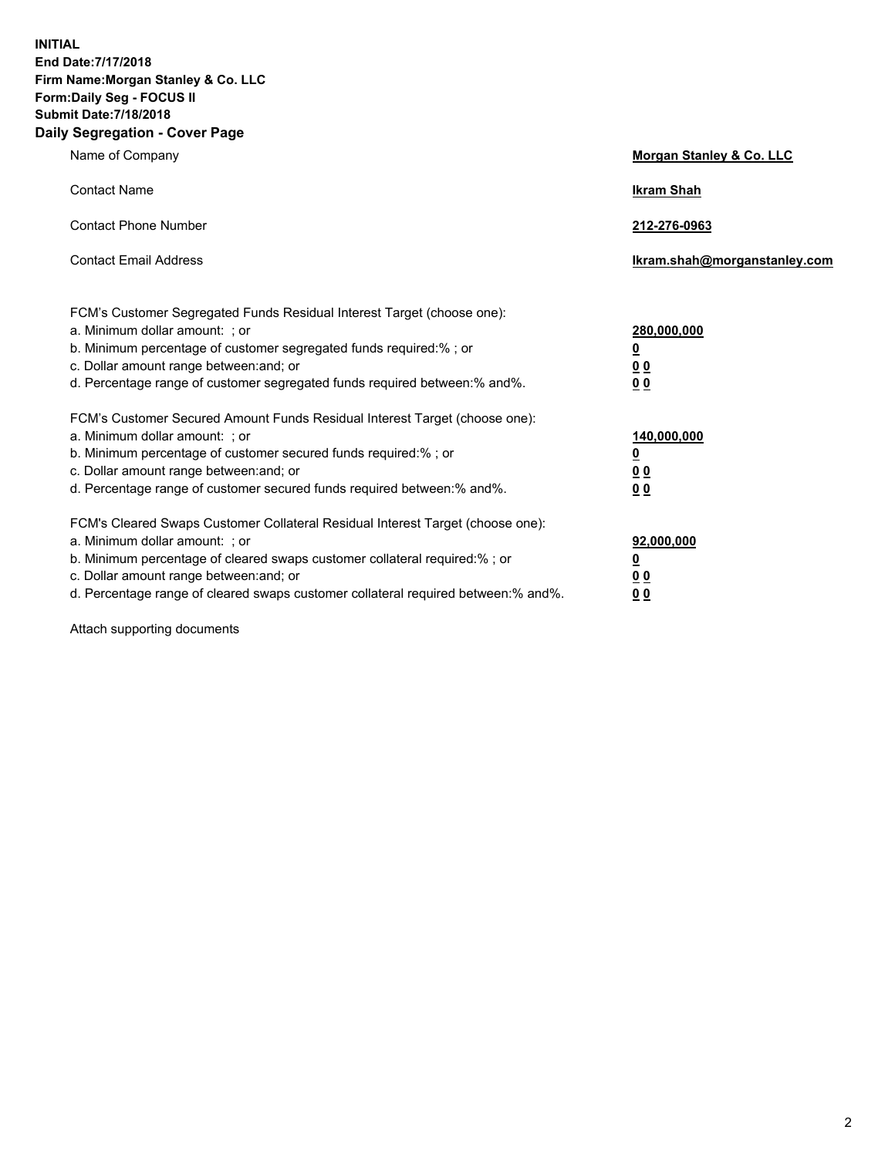**INITIAL End Date:7/17/2018 Firm Name:Morgan Stanley & Co. LLC Form:Daily Seg - FOCUS II Submit Date:7/18/2018 Daily Segregation - Cover Page**

| Name of Company                                                                                                        | Morgan Stanley & Co. LLC     |
|------------------------------------------------------------------------------------------------------------------------|------------------------------|
| <b>Contact Name</b>                                                                                                    | <b>Ikram Shah</b>            |
| <b>Contact Phone Number</b>                                                                                            | 212-276-0963                 |
| <b>Contact Email Address</b>                                                                                           | Ikram.shah@morganstanley.com |
| FCM's Customer Segregated Funds Residual Interest Target (choose one):                                                 |                              |
| a. Minimum dollar amount: ; or                                                                                         | 280,000,000                  |
| b. Minimum percentage of customer segregated funds required:% ; or                                                     | <u>0</u>                     |
| c. Dollar amount range between: and; or<br>d. Percentage range of customer segregated funds required between: % and %. | <u>0 0</u><br>0 Q            |
| FCM's Customer Secured Amount Funds Residual Interest Target (choose one):                                             |                              |
| a. Minimum dollar amount: ; or                                                                                         | 140,000,000                  |
| b. Minimum percentage of customer secured funds required:%; or                                                         | <u>0</u>                     |
| c. Dollar amount range between: and; or                                                                                | 0 <sub>0</sub>               |
| d. Percentage range of customer secured funds required between:% and%.                                                 | 0 <sub>0</sub>               |
| FCM's Cleared Swaps Customer Collateral Residual Interest Target (choose one):                                         |                              |
| a. Minimum dollar amount: ; or                                                                                         | 92,000,000                   |
| b. Minimum percentage of cleared swaps customer collateral required:% ; or                                             | <u>0</u>                     |
| c. Dollar amount range between: and; or                                                                                | 0 Q                          |
| d. Percentage range of cleared swaps customer collateral required between:% and%.                                      | 00                           |

Attach supporting documents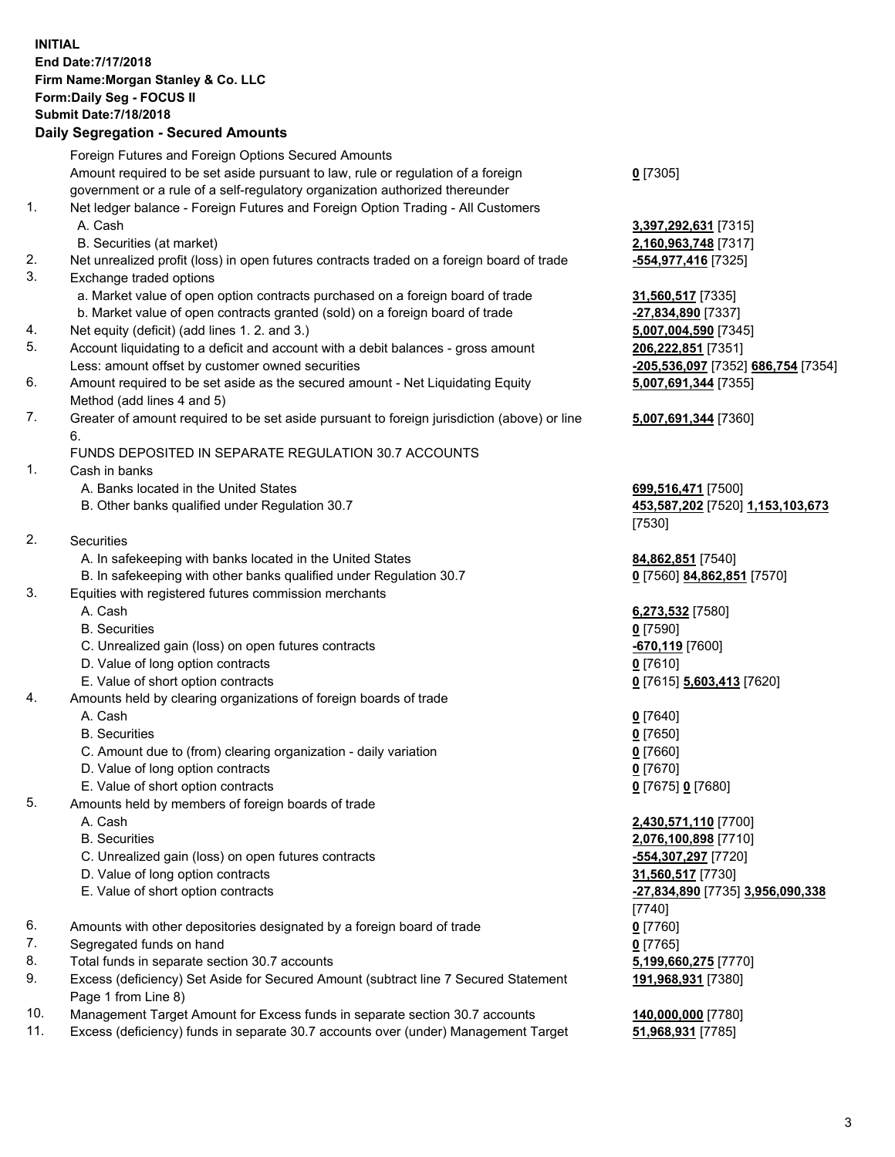## **INITIAL End Date:7/17/2018 Firm Name:Morgan Stanley & Co. LLC Form:Daily Seg - FOCUS II Submit Date:7/18/2018 Daily Segregation - Secured Amounts**

Foreign Futures and Foreign Options Secured Amounts Amount required to be set aside pursuant to law, rule or regulation of a foreign government or a rule of a self-regulatory organization authorized thereunder 1. Net ledger balance - Foreign Futures and Foreign Option Trading - All Customers A. Cash **3,397,292,631** [7315] B. Securities (at market) **2,160,963,748** [7317] 2. Net unrealized profit (loss) in open futures contracts traded on a foreign board of trade **-554,977,416** [7325] 3. Exchange traded options a. Market value of open option contracts purchased on a foreign board of trade **31,560,517** [7335] b. Market value of open contracts granted (sold) on a foreign board of trade **-27,834,890** [7337] 4. Net equity (deficit) (add lines 1. 2. and 3.) **5,007,004,590** [7345] 5. Account liquidating to a deficit and account with a debit balances - gross amount **206,222,851** [7351] Less: amount offset by customer owned securities **-205,536,097** [7352] **686,754** [7354] 6. Amount required to be set aside as the secured amount - Net Liquidating Equity Method (add lines 4 and 5) 7. Greater of amount required to be set aside pursuant to foreign jurisdiction (above) or line 6. FUNDS DEPOSITED IN SEPARATE REGULATION 30.7 ACCOUNTS 1. Cash in banks A. Banks located in the United States **699,516,471** [7500] B. Other banks qualified under Regulation 30.7 **453,587,202** [7520] **1,153,103,673** [7530] 2. Securities A. In safekeeping with banks located in the United States **84,862,851** [7540] B. In safekeeping with other banks qualified under Regulation 30.7 **0** [7560] **84,862,851** [7570] 3. Equities with registered futures commission merchants A. Cash **6,273,532** [7580] B. Securities **0** [7590] C. Unrealized gain (loss) on open futures contracts **-670,119** [7600] D. Value of long option contracts **0** [7610] E. Value of short option contracts **0** [7615] **5,603,413** [7620] 4. Amounts held by clearing organizations of foreign boards of trade A. Cash **0** [7640] B. Securities **0** [7650] C. Amount due to (from) clearing organization - daily variation **0** [7660] D. Value of long option contracts **0** [7670] E. Value of short option contracts **0** [7675] **0** [7680] 5. Amounts held by members of foreign boards of trade A. Cash **2,430,571,110** [7700] B. Securities **2,076,100,898** [7710] C. Unrealized gain (loss) on open futures contracts **-554,307,297** [7720] D. Value of long option contracts **31,560,517** [7730] E. Value of short option contracts **-27,834,890** [7735] **3,956,090,338** [7740] 6. Amounts with other depositories designated by a foreign board of trade **0** [7760] 7. Segregated funds on hand **0** [7765]

- 
- 8. Total funds in separate section 30.7 accounts **5,199,660,275** [7770]
- 9. Excess (deficiency) Set Aside for Secured Amount (subtract line 7 Secured Statement Page 1 from Line 8)
- 10. Management Target Amount for Excess funds in separate section 30.7 accounts **140,000,000** [7780]
- 11. Excess (deficiency) funds in separate 30.7 accounts over (under) Management Target **51,968,931** [7785]

**0** [7305]

**5,007,691,344** [7355] **5,007,691,344** [7360]

**191,968,931** [7380]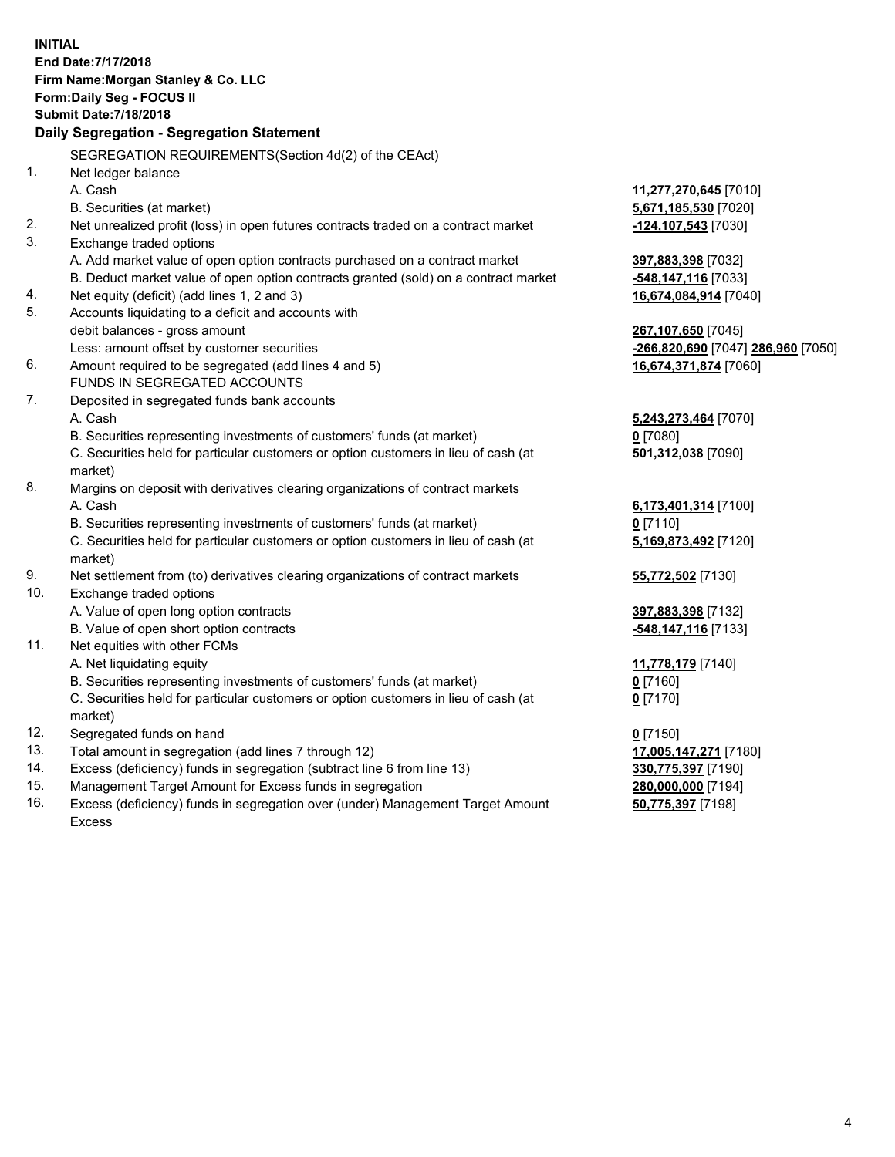**INITIAL End Date:7/17/2018 Firm Name:Morgan Stanley & Co. LLC Form:Daily Seg - FOCUS II Submit Date:7/18/2018 Daily Segregation - Segregation Statement** SEGREGATION REQUIREMENTS(Section 4d(2) of the CEAct) 1. Net ledger balance A. Cash **11,277,270,645** [7010] B. Securities (at market) **5,671,185,530** [7020] 2. Net unrealized profit (loss) in open futures contracts traded on a contract market **-124,107,543** [7030] 3. Exchange traded options A. Add market value of open option contracts purchased on a contract market **397,883,398** [7032] B. Deduct market value of open option contracts granted (sold) on a contract market **-548,147,116** [7033] 4. Net equity (deficit) (add lines 1, 2 and 3) **16,674,084,914** [7040] 5. Accounts liquidating to a deficit and accounts with debit balances - gross amount **267,107,650** [7045] Less: amount offset by customer securities **-266,820,690** [7047] **286,960** [7050] 6. Amount required to be segregated (add lines 4 and 5) **16,674,371,874** [7060] FUNDS IN SEGREGATED ACCOUNTS 7. Deposited in segregated funds bank accounts A. Cash **5,243,273,464** [7070] B. Securities representing investments of customers' funds (at market) **0** [7080] C. Securities held for particular customers or option customers in lieu of cash (at market) **501,312,038** [7090] 8. Margins on deposit with derivatives clearing organizations of contract markets A. Cash **6,173,401,314** [7100] B. Securities representing investments of customers' funds (at market) **0** [7110] C. Securities held for particular customers or option customers in lieu of cash (at market) **5,169,873,492** [7120] 9. Net settlement from (to) derivatives clearing organizations of contract markets **55,772,502** [7130] 10. Exchange traded options A. Value of open long option contracts **397,883,398** [7132] B. Value of open short option contracts **-548,147,116** [7133] 11. Net equities with other FCMs A. Net liquidating equity **11,778,179** [7140] B. Securities representing investments of customers' funds (at market) **0** [7160] C. Securities held for particular customers or option customers in lieu of cash (at market) **0** [7170] 12. Segregated funds on hand **0** [7150] 13. Total amount in segregation (add lines 7 through 12) **17,005,147,271** [7180] 14. Excess (deficiency) funds in segregation (subtract line 6 from line 13) **330,775,397** [7190] 15. Management Target Amount for Excess funds in segregation **280,000,000** [7194] **50,775,397** [7198]

16. Excess (deficiency) funds in segregation over (under) Management Target Amount Excess